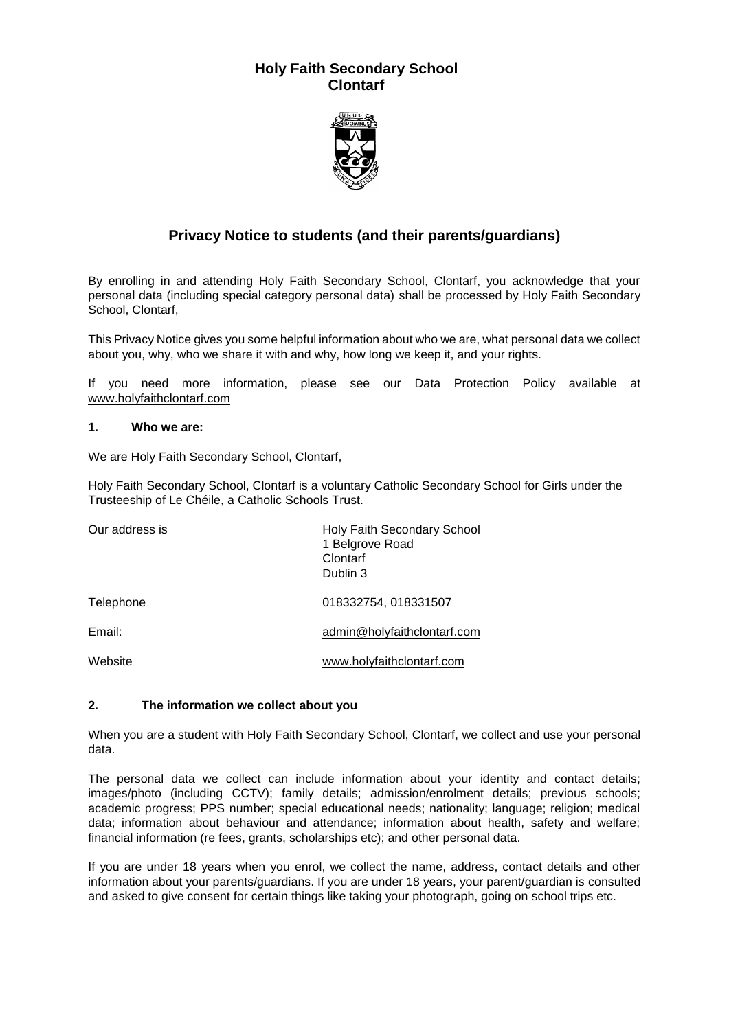## **Holy Faith Secondary School Clontarf**



# **Privacy Notice to students (and their parents/guardians)**

By enrolling in and attending Holy Faith Secondary School, Clontarf, you acknowledge that your personal data (including special category personal data) shall be processed by Holy Faith Secondary School, Clontarf,

This Privacy Notice gives you some helpful information about who we are, what personal data we collect about you, why, who we share it with and why, how long we keep it, and your rights.

If you need more information, please see our Data Protection Policy available at [www.holyfaithclontarf.com](http://www.holyfaithclontarf.com/)

#### **1. Who we are:**

We are Holy Faith Secondary School, Clontarf,

Holy Faith Secondary School, Clontarf is a voluntary Catholic Secondary School for Girls under the Trusteeship of Le Chéile, a Catholic Schools Trust.

| Our address is | <b>Holy Faith Secondary School</b><br>1 Belgrove Road<br>Clontarf<br>Dublin 3 |
|----------------|-------------------------------------------------------------------------------|
| Telephone      | 018332754, 018331507                                                          |
| Email:         | admin@holyfaithclontarf.com                                                   |
| Website        | www.holyfaithclontarf.com                                                     |

## **2. The information we collect about you**

When you are a student with Holy Faith Secondary School, Clontarf, we collect and use your personal data.

The personal data we collect can include information about your identity and contact details; images/photo (including CCTV); family details; admission/enrolment details; previous schools; academic progress; PPS number; special educational needs; nationality; language; religion; medical data; information about behaviour and attendance; information about health, safety and welfare; financial information (re fees, grants, scholarships etc); and other personal data.

If you are under 18 years when you enrol, we collect the name, address, contact details and other information about your parents/guardians. If you are under 18 years, your parent/guardian is consulted and asked to give consent for certain things like taking your photograph, going on school trips etc.